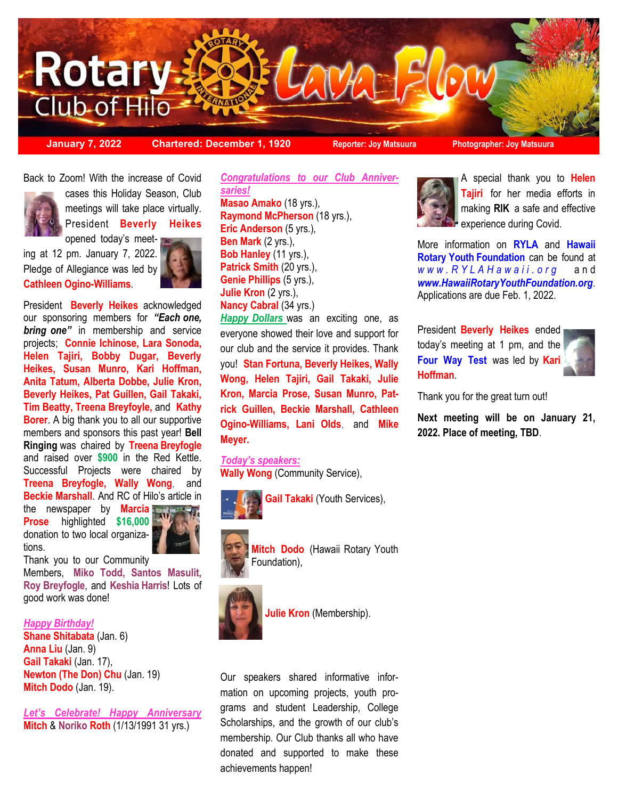

*Congratulations to our Club Anniver-*

*Happy Dollars* was an exciting one, as everyone showed their love and support for our club and the service it provides. Thank you! **Stan Fortuna, Beverly Heikes, Wally Wong, Helen Tajiri, Gail Takaki, Julie Kron, Marcia Prose, Susan Munro, Patrick Guillen, Beckie Marshall, Cathleen Ogino-Williams, Lani Olds**, and **Mike** 

**January 7, 2022 Chartered: December 1, 1920 Reporter: Joy Matsuura Photographer: Joy Matsuura**

*saries!* 

**Masao Amako** (18 yrs.),

**Eric Anderson** (5 yrs.), **Ben Mark** (2 yrs.), **Bob Hanley** (11 yrs.), **Patrick Smith** (20 yrs.), **Genie Phillips** (5 yrs.), **Julie Kron** (2 yrs.), **Nancy Cabral (34 yrs.)** 

**Raymond McPherson** (18 yrs.),

Back to Zoom! With the increase of Covid



 President **Beverly Heikes** cases this Holiday Season, Club meetings will take place virtually.

opened today's meeting at 12 pm. January 7, 2022. Pledge of Allegiance was led by **Cathleen Ogino-Williams**.



President **Beverly Heikes** acknowledged our sponsoring members for *"Each one,*  **bring one"** in membership and service projects; **Connie Ichinose, Lara Sonoda, Helen Tajiri, Bobby Dugar, Beverly Heikes, Susan Munro, Kari Hoffman, Anita Tatum, Alberta Dobbe, Julie Kron, Beverly Heikes, Pat Guillen, Gail Takaki, Tim Beatty, Treena Breyfoyle,** and **Kathy Borer**. A big thank you to all our supportive members and sponsors this past year! **Bell Ringing** was chaired by **Treena Breyfogle**  and raised over **\$900** in the Red Kettle. Successful Projects were chaired by **Treena Breyfogle, Wally Wong**, and **Beckie Marshall**. And RC of Hilo's article in

**Prose** highlighted **\$16,000**  donation to two local organizations.



**Mitch Dodo** (Hawaii Rotary Youth Foundation),

**Gail Takaki** (Youth Services),



**Meyer.** 

*Today's speakers:* 

**Wally Wong** (Community Service),

**Julie Kron** (Membership).

Our speakers shared informative information on upcoming projects, youth programs and student Leadership, College Scholarships, and the growth of our club's membership. Our Club thanks all who have donated and supported to make these achievements happen!



A special thank you to **Helen Tajiri** for her media efforts in making **RIK** a safe and effective experience during Covid.

More information on **RYLA** and **Hawaii Rotary Youth Foundation** can be found at *[w w w . R Y L A H a w a i i . o r g](http://www.RYLAHawaii.org)* a n d *[www.HawaiiRotaryYouthFoundation.org](http://www.HawaiiRotaryYouthFoundation.org)*. Applications are due Feb. 1, 2022.

President **Beverly Heikes** ended today's meeting at 1 pm, and the **Four Way Test** was led by **Kari Hoffman**.



Thank you for the great turn out!

**Next meeting will be on January 21, 2022. Place of meeting, TBD**.

the newspaper by **Marcia** 

Thank you to our Community

Members, **Miko Todd, Santos Masulit, Roy Breyfogle**, and **Keshia Harris**! Lots of good work was done!

### *Happy Birthday!*

**Shane Shitabata** (Jan. 6) **Anna Liu** (Jan. 9) **Gail Takaki** (Jan. 17), **Newton (The Don) Chu** (Jan. 19) **Mitch Dodo** (Jan. 19).

*Let's Celebrate! Happy Anniversary*  **Mitch** & **Noriko Roth** (1/13/1991 31 yrs.)